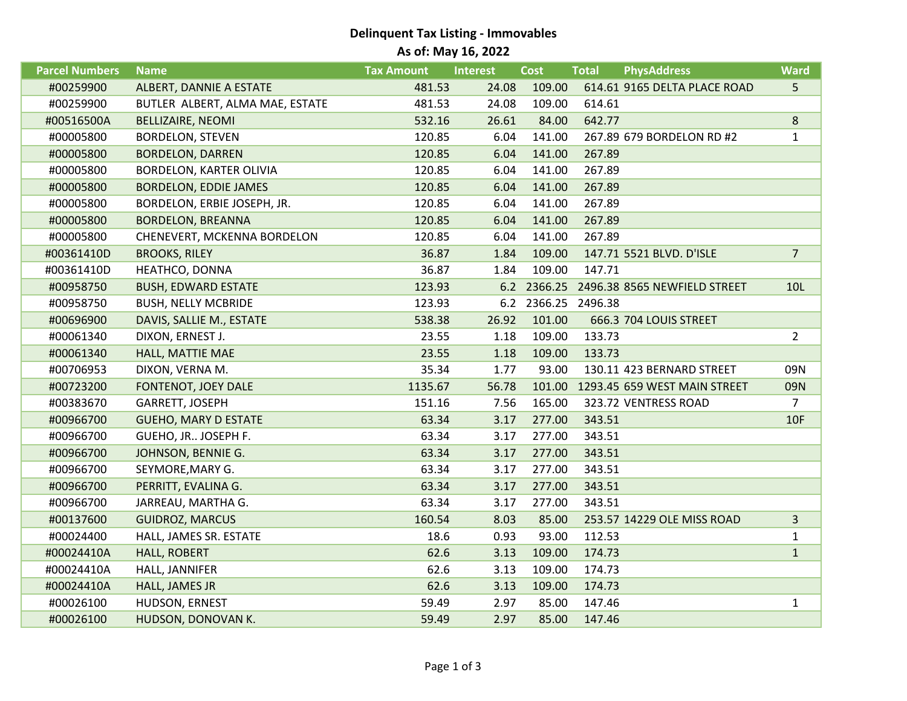## **Delinquent Tax Listing - Immovables As of: May 16, 2022**

| <b>Parcel Numbers</b> | <b>Name</b>                     | <b>Tax Amount</b> | <b>Interest</b> | <b>Cost</b>         | <b>Total</b> | <b>PhysAddress</b>                       | <b>Ward</b>    |
|-----------------------|---------------------------------|-------------------|-----------------|---------------------|--------------|------------------------------------------|----------------|
| #00259900             | ALBERT, DANNIE A ESTATE         | 481.53            | 24.08           | 109.00              |              | 614.61 9165 DELTA PLACE ROAD             | 5              |
| #00259900             | BUTLER ALBERT, ALMA MAE, ESTATE | 481.53            | 24.08           | 109.00              | 614.61       |                                          |                |
| #00516500A            | <b>BELLIZAIRE, NEOMI</b>        | 532.16            | 26.61           | 84.00               | 642.77       |                                          | 8              |
| #00005800             | <b>BORDELON, STEVEN</b>         | 120.85            | 6.04            | 141.00              |              | 267.89 679 BORDELON RD #2                | $\mathbf{1}$   |
| #00005800             | <b>BORDELON, DARREN</b>         | 120.85            | 6.04            | 141.00              | 267.89       |                                          |                |
| #00005800             | <b>BORDELON, KARTER OLIVIA</b>  | 120.85            | 6.04            | 141.00              | 267.89       |                                          |                |
| #00005800             | <b>BORDELON, EDDIE JAMES</b>    | 120.85            | 6.04            | 141.00              | 267.89       |                                          |                |
| #00005800             | BORDELON, ERBIE JOSEPH, JR.     | 120.85            | 6.04            | 141.00              | 267.89       |                                          |                |
| #00005800             | <b>BORDELON, BREANNA</b>        | 120.85            | 6.04            | 141.00              | 267.89       |                                          |                |
| #00005800             | CHENEVERT, MCKENNA BORDELON     | 120.85            | 6.04            | 141.00              | 267.89       |                                          |                |
| #00361410D            | <b>BROOKS, RILEY</b>            | 36.87             | 1.84            | 109.00              |              | 147.71 5521 BLVD. D'ISLE                 | $\overline{7}$ |
| #00361410D            | HEATHCO, DONNA                  | 36.87             | 1.84            | 109.00              | 147.71       |                                          |                |
| #00958750             | <b>BUSH, EDWARD ESTATE</b>      | 123.93            |                 |                     |              | 6.2 2366.25 2496.38 8565 NEWFIELD STREET | 10L            |
| #00958750             | <b>BUSH, NELLY MCBRIDE</b>      | 123.93            |                 | 6.2 2366.25 2496.38 |              |                                          |                |
| #00696900             | DAVIS, SALLIE M., ESTATE        | 538.38            | 26.92           | 101.00              |              | 666.3 704 LOUIS STREET                   |                |
| #00061340             | DIXON, ERNEST J.                | 23.55             | 1.18            | 109.00              | 133.73       |                                          | $\overline{2}$ |
| #00061340             | HALL, MATTIE MAE                | 23.55             | 1.18            | 109.00              | 133.73       |                                          |                |
| #00706953             | DIXON, VERNA M.                 | 35.34             | 1.77            | 93.00               |              | 130.11 423 BERNARD STREET                | 09N            |
| #00723200             | FONTENOT, JOEY DALE             | 1135.67           | 56.78           |                     |              | 101.00 1293.45 659 WEST MAIN STREET      | 09N            |
| #00383670             | GARRETT, JOSEPH                 | 151.16            | 7.56            | 165.00              |              | 323.72 VENTRESS ROAD                     | $\overline{7}$ |
| #00966700             | <b>GUEHO, MARY D ESTATE</b>     | 63.34             | 3.17            | 277.00              | 343.51       |                                          | 10F            |
| #00966700             | GUEHO, JR JOSEPH F.             | 63.34             | 3.17            | 277.00              | 343.51       |                                          |                |
| #00966700             | JOHNSON, BENNIE G.              | 63.34             | 3.17            | 277.00              | 343.51       |                                          |                |
| #00966700             | SEYMORE, MARY G.                | 63.34             | 3.17            | 277.00              | 343.51       |                                          |                |
| #00966700             | PERRITT, EVALINA G.             | 63.34             | 3.17            | 277.00              | 343.51       |                                          |                |
| #00966700             | JARREAU, MARTHA G.              | 63.34             | 3.17            | 277.00              | 343.51       |                                          |                |
| #00137600             | <b>GUIDROZ, MARCUS</b>          | 160.54            | 8.03            | 85.00               |              | 253.57 14229 OLE MISS ROAD               | $\overline{3}$ |
| #00024400             | HALL, JAMES SR. ESTATE          | 18.6              | 0.93            | 93.00               | 112.53       |                                          | $\mathbf{1}$   |
| #00024410A            | <b>HALL, ROBERT</b>             | 62.6              | 3.13            | 109.00              | 174.73       |                                          | $\mathbf{1}$   |
| #00024410A            | HALL, JANNIFER                  | 62.6              | 3.13            | 109.00              | 174.73       |                                          |                |
| #00024410A            | HALL, JAMES JR                  | 62.6              | 3.13            | 109.00              | 174.73       |                                          |                |
| #00026100             | HUDSON, ERNEST                  | 59.49             | 2.97            | 85.00               | 147.46       |                                          | $\mathbf{1}$   |
| #00026100             | HUDSON, DONOVAN K.              | 59.49             | 2.97            | 85.00               | 147.46       |                                          |                |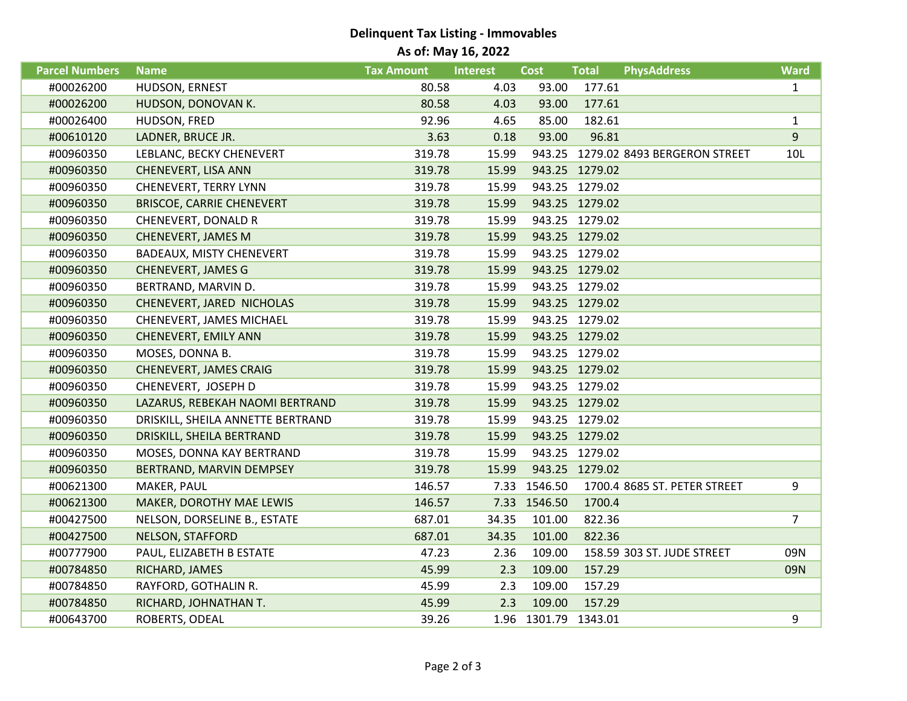## **Delinquent Tax Listing - Immovables As of: May 16, 2022**

| <b>Parcel Numbers</b> | <b>Name</b>                       | <b>Tax Amount</b> | <b>Interest</b> | <b>Cost</b>          | <b>Total</b>   | <b>PhysAddress</b>                  | <b>Ward</b>    |
|-----------------------|-----------------------------------|-------------------|-----------------|----------------------|----------------|-------------------------------------|----------------|
| #00026200             | HUDSON, ERNEST                    | 80.58             | 4.03            | 93.00                | 177.61         |                                     | $\mathbf{1}$   |
| #00026200             | HUDSON, DONOVAN K.                | 80.58             | 4.03            | 93.00                | 177.61         |                                     |                |
| #00026400             | HUDSON, FRED                      | 92.96             | 4.65            | 85.00                | 182.61         |                                     | $\mathbf{1}$   |
| #00610120             | LADNER, BRUCE JR.                 | 3.63              | 0.18            | 93.00                | 96.81          |                                     | 9              |
| #00960350             | LEBLANC, BECKY CHENEVERT          | 319.78            | 15.99           |                      |                | 943.25 1279.02 8493 BERGERON STREET | 10L            |
| #00960350             | CHENEVERT, LISA ANN               | 319.78            | 15.99           |                      | 943.25 1279.02 |                                     |                |
| #00960350             | CHENEVERT, TERRY LYNN             | 319.78            | 15.99           |                      | 943.25 1279.02 |                                     |                |
| #00960350             | <b>BRISCOE, CARRIE CHENEVERT</b>  | 319.78            | 15.99           |                      | 943.25 1279.02 |                                     |                |
| #00960350             | CHENEVERT, DONALD R               | 319.78            | 15.99           |                      | 943.25 1279.02 |                                     |                |
| #00960350             | <b>CHENEVERT, JAMES M</b>         | 319.78            | 15.99           |                      | 943.25 1279.02 |                                     |                |
| #00960350             | BADEAUX, MISTY CHENEVERT          | 319.78            | 15.99           |                      | 943.25 1279.02 |                                     |                |
| #00960350             | <b>CHENEVERT, JAMES G</b>         | 319.78            | 15.99           |                      | 943.25 1279.02 |                                     |                |
| #00960350             | BERTRAND, MARVIN D.               | 319.78            | 15.99           |                      | 943.25 1279.02 |                                     |                |
| #00960350             | CHENEVERT, JARED NICHOLAS         | 319.78            | 15.99           |                      | 943.25 1279.02 |                                     |                |
| #00960350             | CHENEVERT, JAMES MICHAEL          | 319.78            | 15.99           |                      | 943.25 1279.02 |                                     |                |
| #00960350             | CHENEVERT, EMILY ANN              | 319.78            | 15.99           |                      | 943.25 1279.02 |                                     |                |
| #00960350             | MOSES, DONNA B.                   | 319.78            | 15.99           |                      | 943.25 1279.02 |                                     |                |
| #00960350             | <b>CHENEVERT, JAMES CRAIG</b>     | 319.78            | 15.99           |                      | 943.25 1279.02 |                                     |                |
| #00960350             | CHENEVERT, JOSEPH D               | 319.78            | 15.99           |                      | 943.25 1279.02 |                                     |                |
| #00960350             | LAZARUS, REBEKAH NAOMI BERTRAND   | 319.78            | 15.99           |                      | 943.25 1279.02 |                                     |                |
| #00960350             | DRISKILL, SHEILA ANNETTE BERTRAND | 319.78            | 15.99           |                      | 943.25 1279.02 |                                     |                |
| #00960350             | DRISKILL, SHEILA BERTRAND         | 319.78            | 15.99           |                      | 943.25 1279.02 |                                     |                |
| #00960350             | MOSES, DONNA KAY BERTRAND         | 319.78            | 15.99           |                      | 943.25 1279.02 |                                     |                |
| #00960350             | BERTRAND, MARVIN DEMPSEY          | 319.78            | 15.99           |                      | 943.25 1279.02 |                                     |                |
| #00621300             | MAKER, PAUL                       | 146.57            |                 | 7.33 1546.50         |                | 1700.4 8685 ST. PETER STREET        | 9              |
| #00621300             | MAKER, DOROTHY MAE LEWIS          | 146.57            |                 | 7.33 1546.50         | 1700.4         |                                     |                |
| #00427500             | NELSON, DORSELINE B., ESTATE      | 687.01            | 34.35           | 101.00               | 822.36         |                                     | $\overline{7}$ |
| #00427500             | <b>NELSON, STAFFORD</b>           | 687.01            | 34.35           | 101.00               | 822.36         |                                     |                |
| #00777900             | PAUL, ELIZABETH B ESTATE          | 47.23             | 2.36            | 109.00               |                | 158.59 303 ST. JUDE STREET          | 09N            |
| #00784850             | RICHARD, JAMES                    | 45.99             | 2.3             | 109.00               | 157.29         |                                     | 09N            |
| #00784850             | RAYFORD, GOTHALIN R.              | 45.99             | 2.3             | 109.00               | 157.29         |                                     |                |
| #00784850             | RICHARD, JOHNATHAN T.             | 45.99             | 2.3             | 109.00               | 157.29         |                                     |                |
| #00643700             | ROBERTS, ODEAL                    | 39.26             |                 | 1.96 1301.79 1343.01 |                |                                     | 9              |